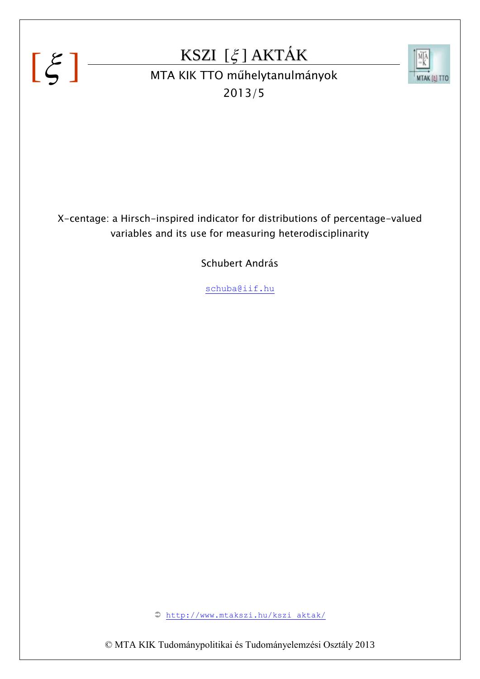# $[\xi]$

# KSZI  $[\xi]$  AKTÁK



KSZI [5] AKTAK<br>MTA KIK TTO műhelytanulmányok 2013/5

X-centage: a Hirsch-inspired indicator for distributions of percentage-valued variables and its use for measuring heterodisciplinarity

Schubert András

schuba@iif.hu

[http://www.mtakszi.hu/kszi\\_aktak/](http://www.mtakszi.hu/kszi_aktak/)

© MTA KIK Tudománypolitikai és Tudományelemzési Osztály 2013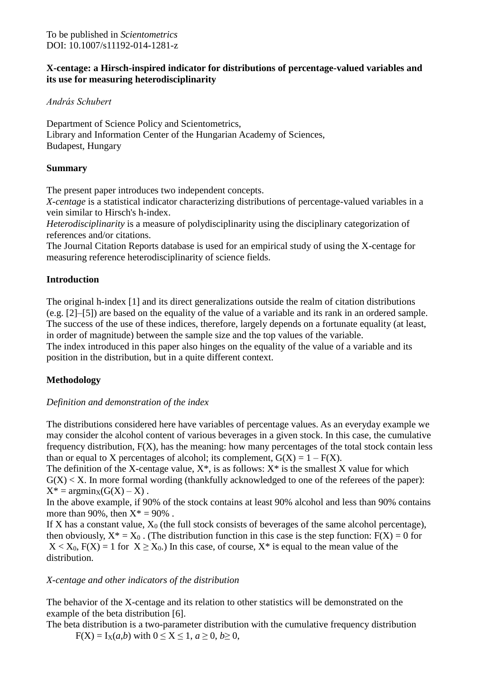#### **X-centage: a Hirsch-inspired indicator for distributions of percentage-valued variables and its use for measuring heterodisciplinarity**

*András Schubert*

Department of Science Policy and Scientometrics, Library and Information Center of the Hungarian Academy of Sciences, Budapest, Hungary

#### **Summary**

The present paper introduces two independent concepts.

*X-centage* is a statistical indicator characterizing distributions of percentage-valued variables in a vein similar to Hirsch's h-index.

*Heterodisciplinarity* is a measure of polydisciplinarity using the disciplinary categorization of references and/or citations.

The Journal Citation Reports database is used for an empirical study of using the X-centage for measuring reference heterodisciplinarity of science fields.

#### **Introduction**

The original h-index [1] and its direct generalizations outside the realm of citation distributions (e.g. [2]–[5]) are based on the equality of the value of a variable and its rank in an ordered sample. The success of the use of these indices, therefore, largely depends on a fortunate equality (at least, in order of magnitude) between the sample size and the top values of the variable.

The index introduced in this paper also hinges on the equality of the value of a variable and its position in the distribution, but in a quite different context.

## **Methodology**

#### *Definition and demonstration of the index*

The distributions considered here have variables of percentage values. As an everyday example we may consider the alcohol content of various beverages in a given stock. In this case, the cumulative frequency distribution, F(X), has the meaning: how many percentages of the total stock contain less than or equal to X percentages of alcohol; its complement,  $G(X) = 1 - F(X)$ .

The definition of the X-centage value,  $X^*$ , is as follows:  $X^*$  is the smallest X value for which  $G(X) < X$ . In more formal wording (thankfully acknowledged to one of the referees of the paper):  $X^* = \text{argmin}_X(G(X) - X)$ .

In the above example, if 90% of the stock contains at least 90% alcohol and less than 90% contains more than 90%, then  $X^* = 90\%$ .

If X has a constant value,  $X_0$  (the full stock consists of beverages of the same alcohol percentage), then obviously,  $X^* = X_0$ . (The distribution function in this case is the step function:  $F(X) = 0$  for  $X < X_0$ ,  $F(X) = 1$  for  $X \ge X_0$ .) In this case, of course,  $X^*$  is equal to the mean value of the distribution.

#### *X-centage and other indicators of the distribution*

The behavior of the X-centage and its relation to other statistics will be demonstrated on the example of the beta distribution [6].

The beta distribution is a two-parameter distribution with the cumulative frequency distribution  $F(X) = I_X(a,b)$  with  $0 \le X \le 1, a \ge 0, b \ge 0$ ,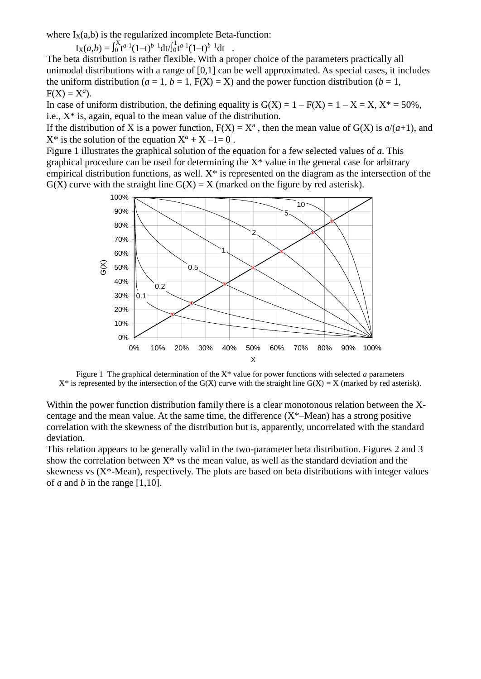where  $I_X(a,b)$  is the regularized incomplete Beta-function:

 $I_X(a,b) = \int_0^X t^{a-1} (1-t)^{b-1} dt / \int_0^1 t^{a-1} (1-t)^{b-1} dt$ .

The beta distribution is rather flexible. With a proper choice of the parameters practically all unimodal distributions with a range of [0,1] can be well approximated. As special cases, it includes the uniform distribution ( $a = 1$ ,  $b = 1$ ,  $F(X) = X$ ) and the power function distribution ( $b = 1$ ,  $F(X) = X^a$ ).

In case of uniform distribution, the defining equality is  $G(X) = 1 - F(X) = 1 - X = X$ ,  $X^* = 50\%$ , i.e.,  $X^*$  is, again, equal to the mean value of the distribution.

If the distribution of X is a power function,  $F(X) = X^a$ , then the mean value of  $G(X)$  is  $a/(a+1)$ , and  $X^*$  is the solution of the equation  $X^a + X - 1 = 0$ .

Figure 1 illustrates the graphical solution of the equation for a few selected values of *a*. This graphical procedure can be used for determining the  $X^*$  value in the general case for arbitrary empirical distribution functions, as well.  $X^*$  is represented on the diagram as the intersection of the  $G(X)$  curve with the straight line  $G(X) = X$  (marked on the figure by red asterisk).



Figure 1 The graphical determination of the X\* value for power functions with selected *a* parameters  $X^*$  is represented by the intersection of the G(X) curve with the straight line G(X) = X (marked by red asterisk).

Within the power function distribution family there is a clear monotonous relation between the Xcentage and the mean value. At the same time, the difference  $(X^*$ —Mean) has a strong positive correlation with the skewness of the distribution but is, apparently, uncorrelated with the standard deviation.

This relation appears to be generally valid in the two-parameter beta distribution. Figures 2 and 3 show the correlation between  $X^*$  vs the mean value, as well as the standard deviation and the skewness vs  $(X^*$ -Mean), respectively. The plots are based on beta distributions with integer values of *a* and *b* in the range  $[1,10]$ .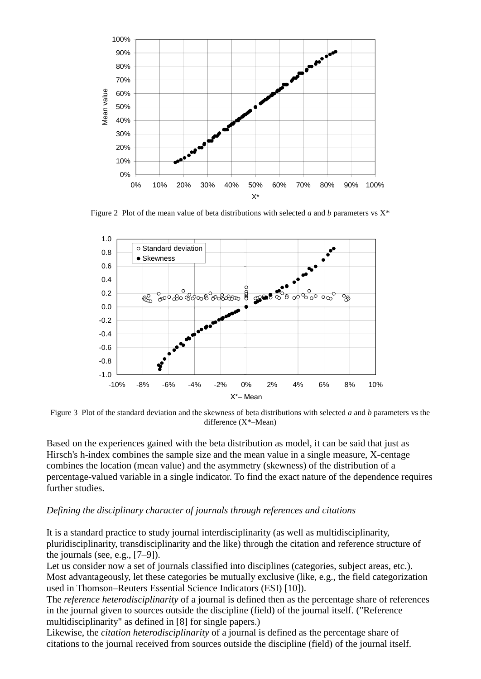

Figure 2 Plot of the mean value of beta distributions with selected *a* and *b* parameters vs  $X^*$ 



Figure 3 Plot of the standard deviation and the skewness of beta distributions with selected *a* and *b* parameters vs the difference (X\*–Mean)

Based on the experiences gained with the beta distribution as model, it can be said that just as Hirsch's h-index combines the sample size and the mean value in a single measure, X-centage combines the location (mean value) and the asymmetry (skewness) of the distribution of a percentage-valued variable in a single indicator. To find the exact nature of the dependence requires further studies.

#### *Defining the disciplinary character of journals through references and citations*

It is a standard practice to study journal interdisciplinarity (as well as multidisciplinarity, pluridisciplinarity, transdisciplinarity and the like) through the citation and reference structure of the journals (see, e.g.,  $[7-9]$ ).

Let us consider now a set of journals classified into disciplines (categories, subject areas, etc.). Most advantageously, let these categories be mutually exclusive (like, e.g., the field categorization used in Thomson–Reuters Essential Science Indicators (ESI) [10]).

The *reference heterodisciplinarity* of a journal is defined then as the percentage share of references in the journal given to sources outside the discipline (field) of the journal itself. ("Reference multidisciplinarity" as defined in [8] for single papers.)

Likewise, the *citation heterodisciplinarity* of a journal is defined as the percentage share of citations to the journal received from sources outside the discipline (field) of the journal itself.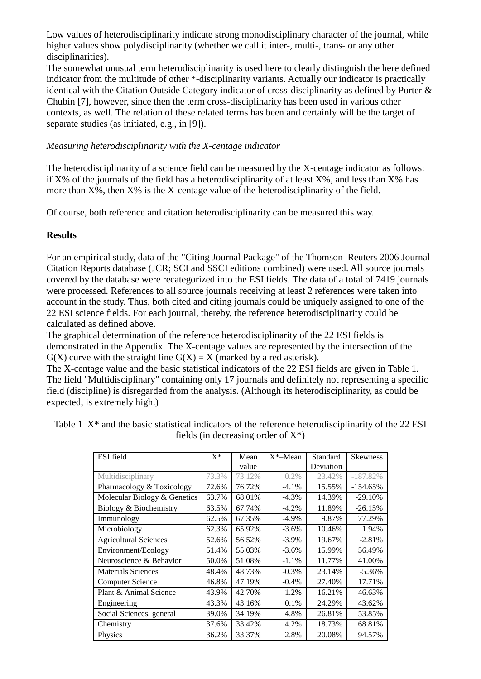Low values of heterodisciplinarity indicate strong monodisciplinary character of the journal, while higher values show polydisciplinarity (whether we call it inter-, multi-, trans- or any other disciplinarities).

The somewhat unusual term heterodisciplinarity is used here to clearly distinguish the here defined indicator from the multitude of other \*-disciplinarity variants. Actually our indicator is practically identical with the Citation Outside Category indicator of cross-disciplinarity as defined by Porter & Chubin [7], however, since then the term cross-disciplinarity has been used in various other contexts, as well. The relation of these related terms has been and certainly will be the target of separate studies (as initiated, e.g., in [9]).

#### *Measuring heterodisciplinarity with the X-centage indicator*

The heterodisciplinarity of a science field can be measured by the X-centage indicator as follows: if  $X\%$  of the journals of the field has a heterodisciplinarity of at least  $X\%$ , and less than  $X\%$  has more than X%, then X% is the X-centage value of the heterodisciplinarity of the field.

Of course, both reference and citation heterodisciplinarity can be measured this way.

#### **Results**

For an empirical study, data of the "Citing Journal Package" of the Thomson–Reuters 2006 Journal Citation Reports database (JCR; SCI and SSCI editions combined) were used. All source journals covered by the database were recategorized into the ESI fields. The data of a total of 7419 journals were processed. References to all source journals receiving at least 2 references were taken into account in the study. Thus, both cited and citing journals could be uniquely assigned to one of the 22 ESI science fields. For each journal, thereby, the reference heterodisciplinarity could be calculated as defined above.

The graphical determination of the reference heterodisciplinarity of the 22 ESI fields is demonstrated in the Appendix. The X-centage values are represented by the intersection of the  $G(X)$  curve with the straight line  $G(X) = X$  (marked by a red asterisk).

The X-centage value and the basic statistical indicators of the 22 ESI fields are given in Table 1. The field "Multidisciplinary" containing only 17 journals and definitely not representing a specific field (discipline) is disregarded from the analysis. (Although its heterodisciplinarity, as could be expected, is extremely high.)

| ESI field                    | $X^*$ | Mean   | $X^*$ -Mean | Standard  | <b>Skewness</b> |
|------------------------------|-------|--------|-------------|-----------|-----------------|
|                              |       | value  |             | Deviation |                 |
| Multidisciplinary            | 73.3% | 73.12% | 0.2%        | 23.42%    | $-187.82%$      |
| Pharmacology & Toxicology    | 72.6% | 76.72% | $-4.1%$     | 15.55%    | $-154.65%$      |
| Molecular Biology & Genetics | 63.7% | 68.01% | $-4.3%$     | 14.39%    | $-29.10%$       |
| Biology & Biochemistry       | 63.5% | 67.74% | $-4.2\%$    | 11.89%    | $-26.15%$       |
| Immunology                   | 62.5% | 67.35% | $-4.9\%$    | 9.87%     | 77.29%          |
| Microbiology                 | 62.3% | 65.92% | $-3.6%$     | 10.46%    | 1.94%           |
| <b>Agricultural Sciences</b> | 52.6% | 56.52% | $-3.9\%$    | 19.67%    | $-2.81%$        |
| Environment/Ecology          | 51.4% | 55.03% | $-3.6%$     | 15.99%    | 56.49%          |
| Neuroscience & Behavior      | 50.0% | 51.08% | $-1.1%$     | 11.77%    | 41.00%          |
| <b>Materials Sciences</b>    | 48.4% | 48.73% | $-0.3\%$    | 23.14%    | $-5.36%$        |
| <b>Computer Science</b>      | 46.8% | 47.19% | $-0.4%$     | 27.40%    | 17.71%          |
| Plant & Animal Science       | 43.9% | 42.70% | 1.2%        | 16.21%    | 46.63%          |
| Engineering                  | 43.3% | 43.16% | 0.1%        | 24.29%    | 43.62%          |
| Social Sciences, general     | 39.0% | 34.19% | 4.8%        | 26.81%    | 53.85%          |
| Chemistry                    | 37.6% | 33.42% | 4.2%        | 18.73%    | 68.81%          |
| Physics                      | 36.2% | 33.37% | 2.8%        | 20.08%    | 94.57%          |

Table 1  $X^*$  and the basic statistical indicators of the reference heterodisciplinarity of the 22 ESI fields (in decreasing order of  $X^*$ )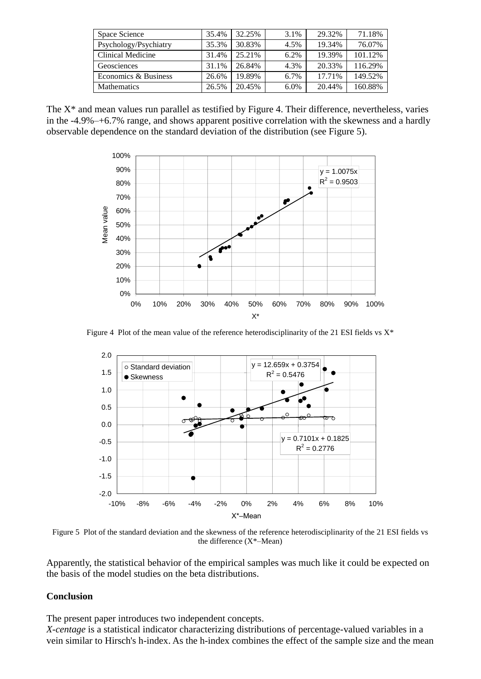| Space Science         | 35.4% | 32.25% | 3.1% | 29.32% | 71.18%  |
|-----------------------|-------|--------|------|--------|---------|
| Psychology/Psychiatry | 35.3% | 30.83% | 4.5% | 19.34% | 76.07%  |
| Clinical Medicine     | 31.4% | 25.21% | 6.2% | 19.39% | 101.12% |
| Geosciences           | 31.1% | 26.84% | 4.3% | 20.33% | 116.29% |
| Economics & Business  | 26.6% | 19.89% | 6.7% | 17.71% | 149.52% |
| <b>Mathematics</b>    | 26.5% | 20.45% | 6.0% | 20.44% | 160.88% |

The X\* and mean values run parallel as testified by Figure 4. Their difference, nevertheless, varies in the -4.9%–+6.7% range, and shows apparent positive correlation with the skewness and a hardly observable dependence on the standard deviation of the distribution (see Figure 5).



Figure 4 Plot of the mean value of the reference heterodisciplinarity of the 21 ESI fields vs  $X^*$ 



Figure 5 Plot of the standard deviation and the skewness of the reference heterodisciplinarity of the 21 ESI fields vs the difference (X\*–Mean)

Apparently, the statistical behavior of the empirical samples was much like it could be expected on the basis of the model studies on the beta distributions.

#### **Conclusion**

The present paper introduces two independent concepts.

*X-centage* is a statistical indicator characterizing distributions of percentage-valued variables in a vein similar to Hirsch's h-index. As the h-index combines the effect of the sample size and the mean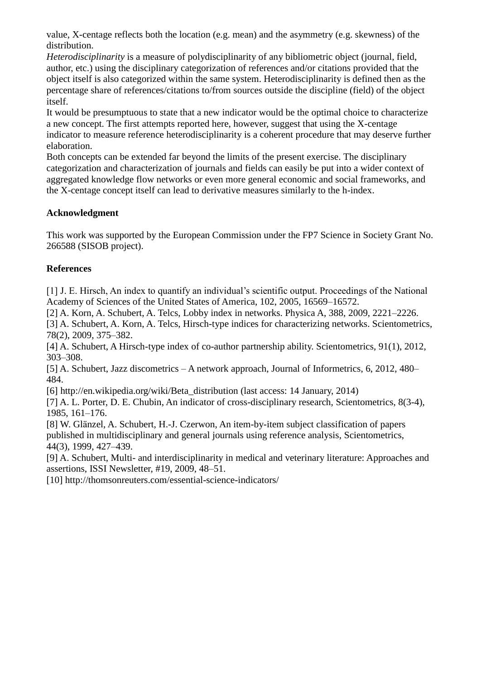value, X-centage reflects both the location (e.g. mean) and the asymmetry (e.g. skewness) of the distribution.

*Heterodisciplinarity* is a measure of polydisciplinarity of any bibliometric object (journal, field, author, etc.) using the disciplinary categorization of references and/or citations provided that the object itself is also categorized within the same system. Heterodisciplinarity is defined then as the percentage share of references/citations to/from sources outside the discipline (field) of the object itself.

It would be presumptuous to state that a new indicator would be the optimal choice to characterize a new concept. The first attempts reported here, however, suggest that using the X-centage indicator to measure reference heterodisciplinarity is a coherent procedure that may deserve further elaboration.

Both concepts can be extended far beyond the limits of the present exercise. The disciplinary categorization and characterization of journals and fields can easily be put into a wider context of aggregated knowledge flow networks or even more general economic and social frameworks, and the X-centage concept itself can lead to derivative measures similarly to the h-index.

### **Acknowledgment**

This work was supported by the European Commission under the FP7 Science in Society Grant No. 266588 (SISOB project).

### **References**

[1] J. E. Hirsch, An index to quantify an individual's scientific output. Proceedings of the National Academy of Sciences of the United States of America, 102, 2005, 16569–16572.

[2] A. Korn, A. Schubert, A. Telcs, Lobby index in networks. Physica A, 388, 2009, 2221–2226.

[3] A. Schubert, A. Korn, A. Telcs, Hirsch-type indices for characterizing networks. Scientometrics, 78(2), 2009, 375–382.

[4] A. Schubert, A Hirsch-type index of co-author partnership ability. Scientometrics, 91(1), 2012, 303–308.

[5] A. Schubert, Jazz discometrics – A network approach, Journal of Informetrics, 6, 2012, 480– 484.

[6] http://en.wikipedia.org/wiki/Beta\_distribution (last access: 14 January, 2014)

[7] A. L. Porter, D. E. Chubin, An indicator of cross-disciplinary research, Scientometrics, 8(3-4), 1985, 161–176.

[8] W. Glänzel, A. Schubert, H.-J. Czerwon, An item-by-item subject classification of papers published in multidisciplinary and general journals using reference analysis, Scientometrics, 44(3), 1999, 427–439.

[9] A. Schubert, Multi- and interdisciplinarity in medical and veterinary literature: Approaches and assertions, ISSI Newsletter, #19, 2009, 48–51.

[10] http://thomsonreuters.com/essential-science-indicators/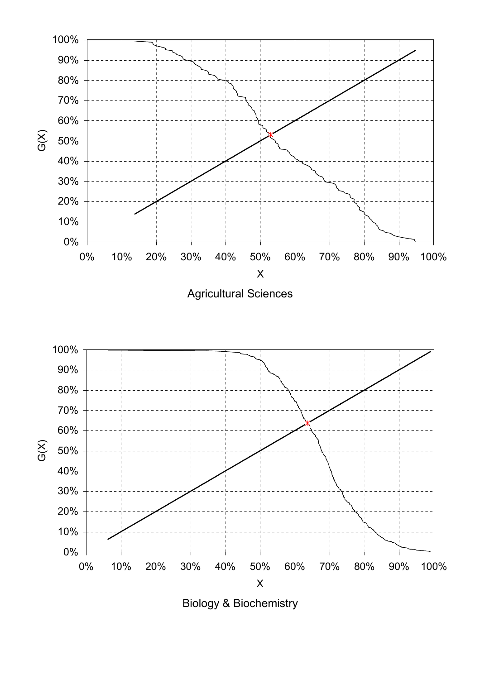



Biology & Biochemistry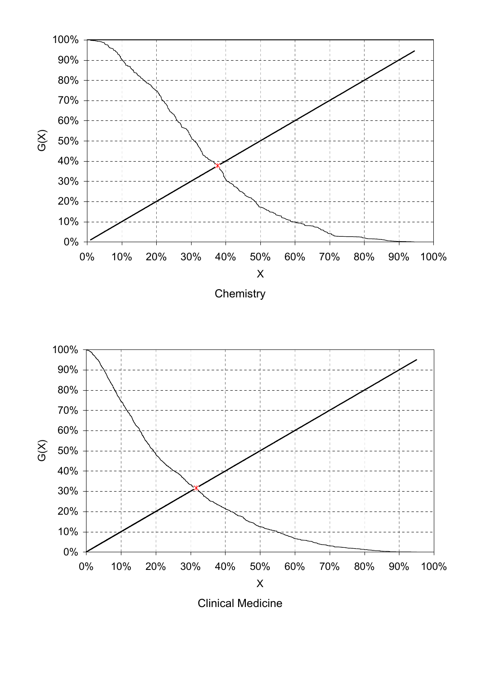





Clinical Medicine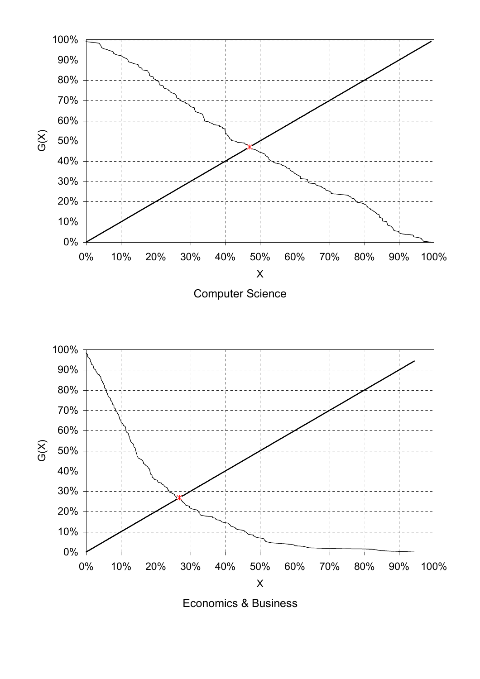



Economics & Business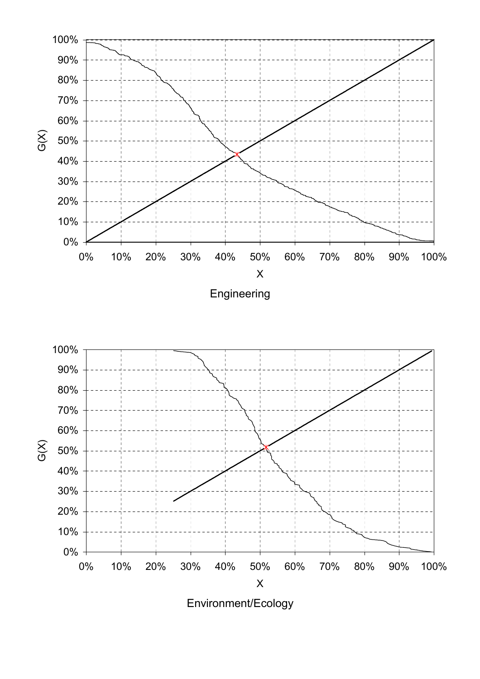

Environment/Ecology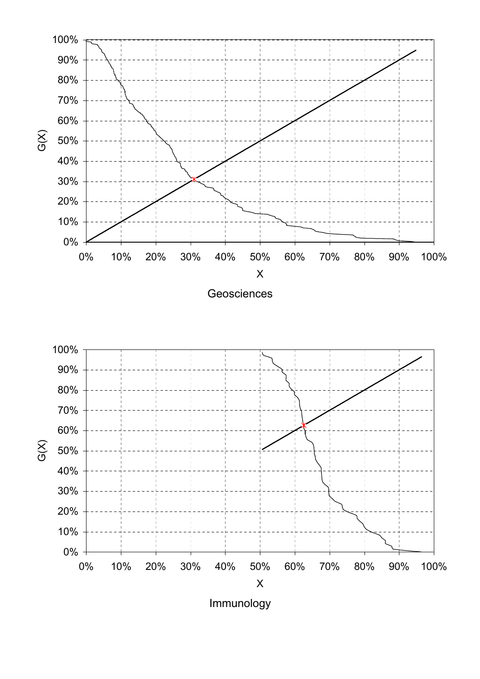

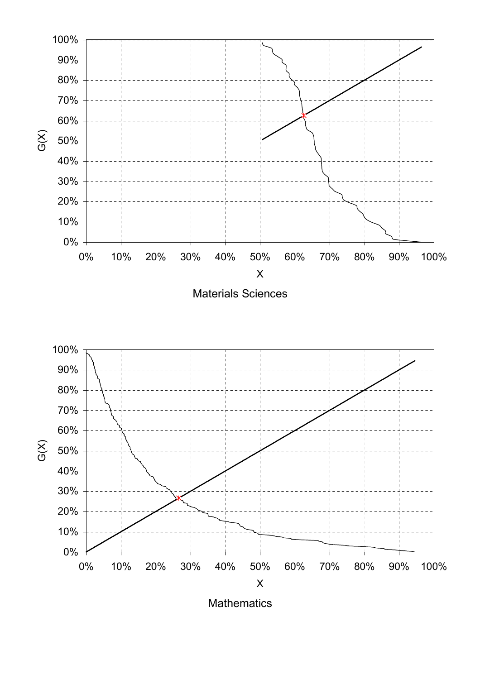

**Mathematics**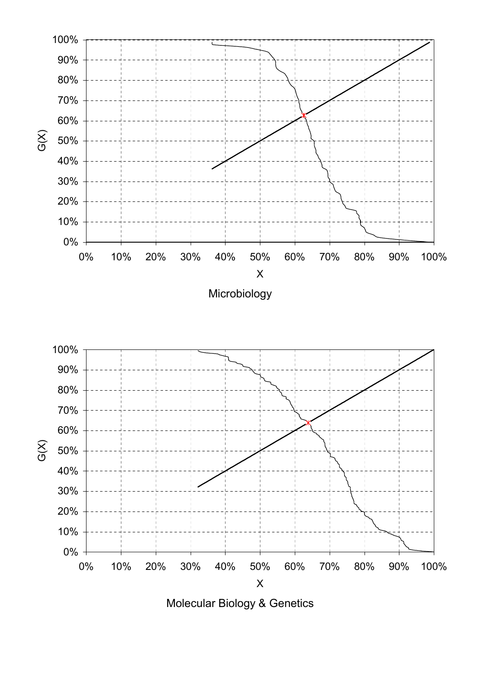

Molecular Biology & Genetics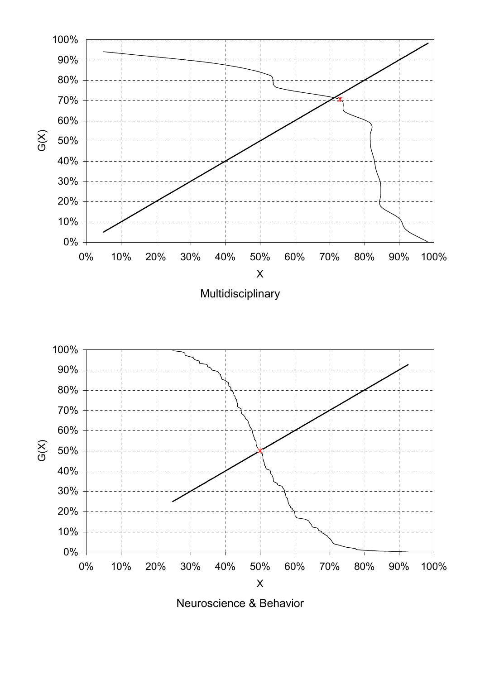

Neuroscience & Behavior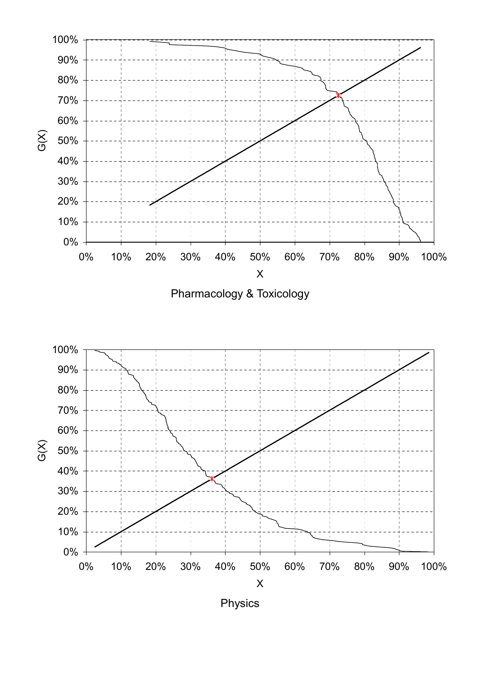

Pharmacology & Toxicology



Physics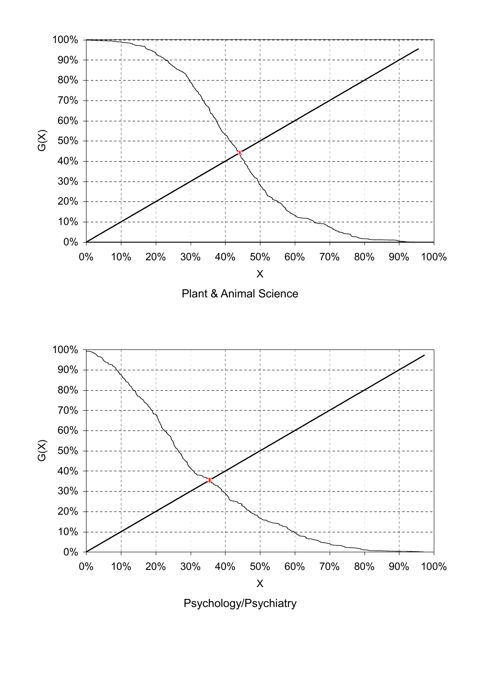

Plant & Animal Science